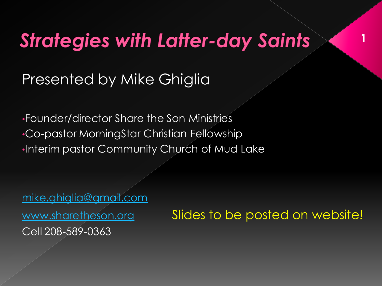## **Strategies with Latter-day Saints**

#### Presented by Mike Ghiglia

•Founder/director Share the Son Ministries •Co-pastor MorningStar Christian Fellowship •Interim pastor Community Church of Mud Lake

[mike.ghiglia@gmail.com](mailto:mike.ghiglia@gmail.com) Cell 208-589-0363

[www.sharetheson.org](http://www.sharetheson.org/) Slides to be posted on website!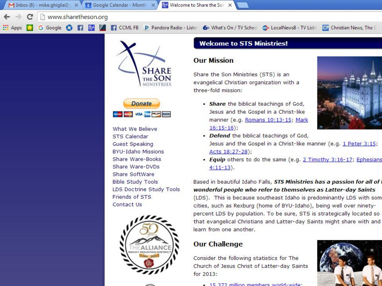



What We Believe **STS Calendar Guest Speaking BYU-Idaho Missions** Share Ware-Books Share Ware-DVDs Share SoftWare **Bible Study Tools** LDS Doctrine Study Tools Friends of STS Contact Us



#### **Welcome to STS Ministries!**

#### **Our Mission**

Share the Son Ministries (STS) is an evangelical Christian organization with a three-fold mission:

· Share the biblical teachings of God, Jesus and the Gospel in a Christ-like manner (e.g. Romans 10:13-15; Mark  $16:15-16$ 



- Defend the biblical teachings of God, Jesus and the Gospel in a Christ-like manner (e.g. 1 Peter 3:15; Acts 18:27-28);
- Equip others to do the same (e.g. 2 Timothy 3:16-17; Ephesians  $4:11-13$ ).

Based in beautiful Idaho Falls, STS Ministries has a passion for all of wonderful people who refer to themselves as Latter-day Saints (LDS). This is because southeast Idaho is predominantly LDS with som cities, such as Rexburg (home of BYU-Idaho), being well over ninetypercent LDS by population. To be sure, STS is strategically located so that evangelical Christians and Latter-day Saints might share with and learn from one another.

#### **Our Challenge**

Consider the following statistics for The Church of Jesus Christ of Latter-day Saints for 2013:

 $\sim$  15.372 million members world-wide:

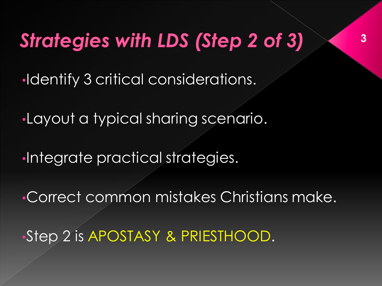# **Strategies with LDS (Step 2 of 3)**

•Identify 3 critical considerations.

•Layout a typical sharing scenario.

•Integrate practical strategies.

•Correct common mistakes Christians make.

•Step 2 is APOSTASY & PRIESTHOOD.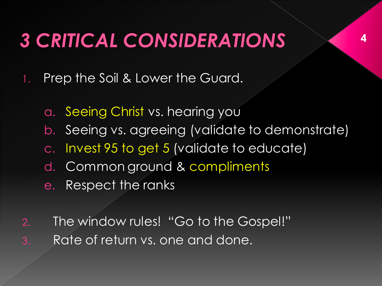## **3 CRITICAL CONSIDERATIONS**

- 1. Prep the Soil & Lower the Guard.
	- a. Seeing Christ vs. hearing you
	- b. Seeing vs. agreeing (validate to demonstrate)
	- c. Invest 95 to get 5 (validate to educate)
	- d. Common ground & compliments
	- e. Respect the ranks
- 2. The window rules! "Go to the Gospel!" 3. Rate of return vs. one and done.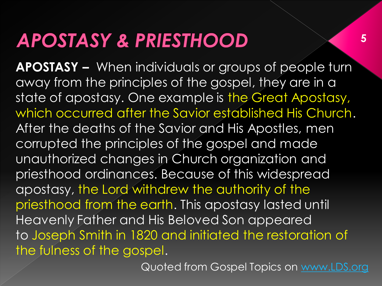**APOSTASY –** When individuals or groups of people turn away from the principles of the gospel, they are in a state of apostasy. One example is the Great Apostasy, which occurred after the Savior established His Church. After the deaths of the Savior and His Apostles, men corrupted the principles of the gospel and made unauthorized changes in Church organization and priesthood ordinances. Because of this widespread apostasy, the Lord withdrew the authority of the priesthood from the earth. This apostasy lasted until Heavenly Father and His Beloved Son appeared to Joseph Smith in 1820 and initiated the restoration of the fulness of the gospel.

Quoted from Gospel Topics on [www.LDS.org](http://www.lds.org/)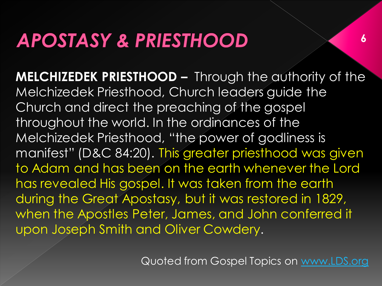**MELCHIZEDEK PRIESTHOOD –** Through the authority of the Melchizedek Priesthood, Church leaders guide the Church and direct the preaching of the gospel throughout the world. In the ordinances of the Melchizedek Priesthood, "the power of godliness is manifest" (D&C 84:20). This greater priesthood was given to Adam and has been on the earth whenever the Lord has revealed His gospel. It was taken from the earth during the Great Apostasy, but it was restored in 1829, when the Apostles Peter, James, and John conferred it upon Joseph Smith and Oliver Cowdery.

Quoted from Gospel Topics on [www.LDS.org](http://www.lds.org/)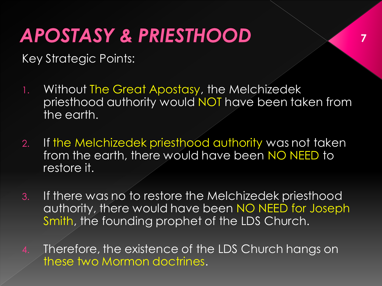Key Strategic Points:

1. Without The Great Apostasy, the Melchizedek priesthood authority would NOT have been taken from the earth.

- 2. If the Melchizedek priesthood authority was not taken from the earth, there would have been NO NEED to restore it.
- 3. If there was no to restore the Melchizedek priesthood authority, there would have been NO NEED for Joseph Smith, the founding prophet of the LDS Church.
- 4. Therefore, the existence of the LDS Church hangs on these two Mormon doctrines.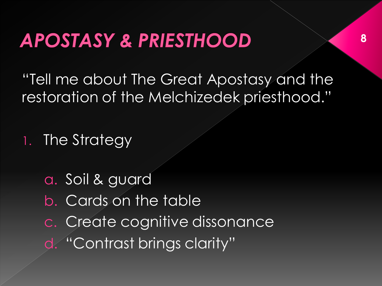"Tell me about The Great Apostasy and the restoration of the Melchizedek priesthood."

1. The Strategy

a. Soil & guard b. Cards on the table c. Create cognitive dissonance d. "Contrast brings clarity"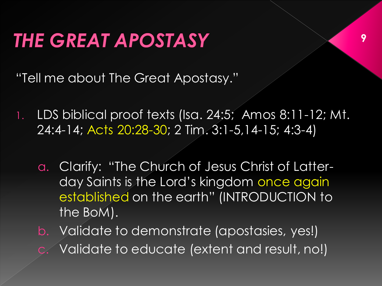### **THE GREAT APOSTASY**

"Tell me about The Great Apostasy."

1. LDS biblical proof texts (Isa. 24:5; Amos 8:11-12; Mt. 24:4-14; Acts 20:28-30; 2 Tim. 3:1-5,14-15; 4:3-4)

- a. Clarify: "The Church of Jesus Christ of Latterday Saints is the Lord's kingdom once again established on the earth" (INTRODUCTION to the BoM).
- b. Validate to demonstrate (apostasies, yes!) Validate to educate (extent and result, no!)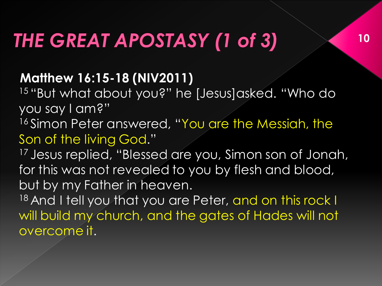## THE GREAT APOSTASY (1 of 3)

#### **Matthew 16:15-18 (NIV2011)**

<sup>15</sup>"But what about you?" he [Jesus]asked. "Who do you say I am?"

**10**

16 Simon Peter answered, "You are the Messiah, the Son of the living God."

<sup>17</sup> Jesus replied, "Blessed are you, Simon son of Jonah, for this was not revealed to you by flesh and blood, but by my Father in heaven.

18 And I tell you that you are Peter, and on this rock I will build my church, and the gates of Hades will not overcome it.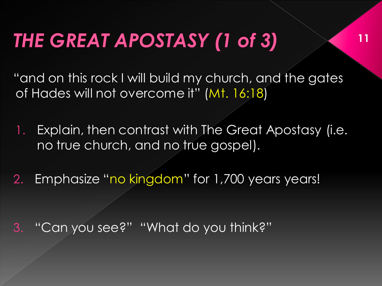## THE GREAT APOSTASY (1 of 3)

"and on this rock I will build my church, and the gates of Hades will not overcome it" (Mt. 16:18)

**11**

- 1. Explain, then contrast with The Great Apostasy (i.e. no true church, and no true gospel).
- 2. Emphasize "no kingdom" for 1,700 years years!

3. "Can you see?" "What do you think?"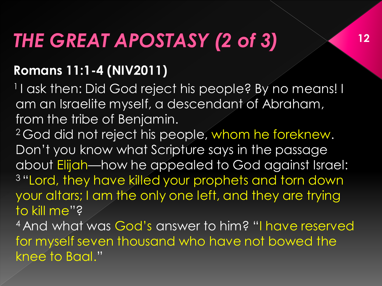## THE GREAT APOSTASY (2 of 3)

#### **Romans 11:1-4 (NIV2011)**

<sup>1</sup>I ask then: Did God reject his people? By no means! I am an Israelite myself, a descendant of Abraham, from the tribe of Benjamin.

<sup>2</sup> God did not reject his people, whom he foreknew. Don't you know what Scripture says in the passage about Elijah—how he appealed to God against Israel: <sup>3</sup>"Lord, they have killed your prophets and torn down your altars; I am the only one left, and they are trying to kill me"? <sup>4</sup>And what was God's answer to him? "I have reserved for myself seven thousand who have not bowed the

knee to Baal."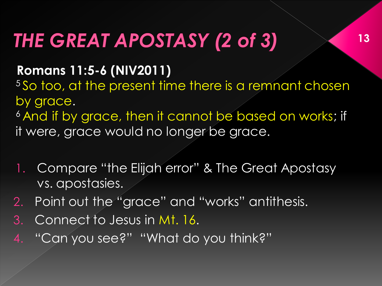## THE GREAT APOSTASY (2 of 3)

#### **Romans 11:5-6 (NIV2011)**

<sup>5</sup>So too, at the present time there is a remnant chosen by grace.

<sup>6</sup> And if by grace, then it cannot be based on works; if it were, grace would no longer be grace.

- 1. Compare "the Elijah error" & The Great Apostasy vs. apostasies.
- 2. Point out the "grace" and "works" antithesis.
- 3. Connect to Jesus in Mt. 16.
- 4. "Can you see?" "What do you think?"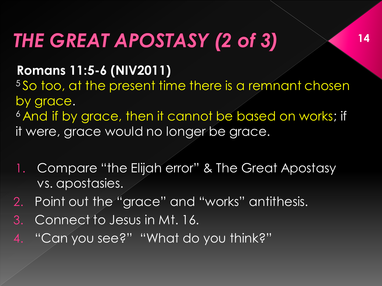## THE GREAT APOSTASY (2 of 3)

#### **Romans 11:5-6 (NIV2011)**

<sup>5</sup>So too, at the present time there is a remnant chosen by grace.

<sup>6</sup> And if by grace, then it cannot be based on works; if it were, grace would no longer be grace.

- 1. Compare "the Elijah error" & The Great Apostasy vs. apostasies.
- 2. Point out the "grace" and "works" antithesis.
- 3. Connect to Jesus in Mt. 16.
- 4. "Can you see?" "What do you think?"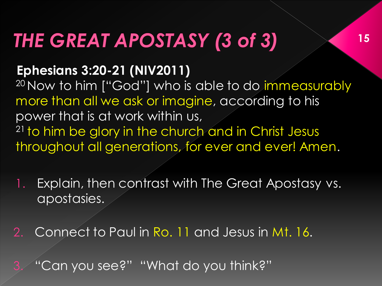## THE GREAT APOSTASY (3 of 3)

#### **Ephesians 3:20-21 (NIV2011)**

<sup>20</sup> Now to him ["God"] who is able to do immeasurably more than all we ask or imagine, according to his power that is at work within us, <sup>21</sup> to him be glory in the church and in Christ Jesus throughout all generations, for ever and ever! Amen.

**15**

1. Explain, then contrast with The Great Apostasy vs. apostasies.

2. Connect to Paul in Ro. 11 and Jesus in Mt. 16.

3. "Can you see?" "What do you think?"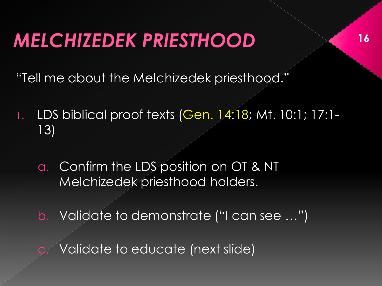### **MELCHIZEDEK PRIESTHOOD**

"Tell me about the Melchizedek priesthood."

- 1. LDS biblical proof texts (Gen. 14:18; Mt. 10:1; 17:1- 13)
	- a. Confirm the LDS position on OT & NT Melchizedek priesthood holders.
	- b. Validate to demonstrate ("I can see …")
	- Validate to educate (next slide)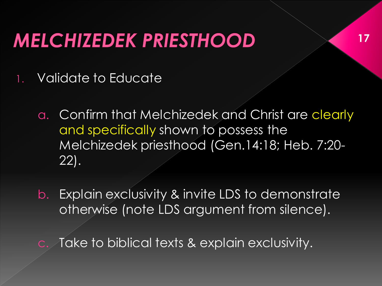### **MELCHIZEDEK PRIESTHOOD**

- 1. Validate to Educate
	- a. Confirm that Melchizedek and Christ are clearly and specifically shown to possess the Melchizedek priesthood (Gen.14:18; Heb. 7:20- 22).

- b. Explain exclusivity & invite LDS to demonstrate otherwise (note LDS argument from silence).
- Take to biblical texts & explain exclusivity.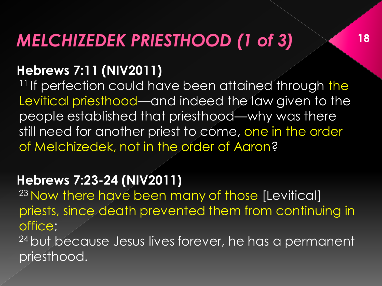#### **MELCHIZEDEK PRIESTHOOD (1 of 3)**

#### **Hebrews 7:11 (NIV2011)**

<sup>11</sup> If perfection could have been attained through the Levitical priesthood—and indeed the law given to the people established that priesthood—why was there still need for another priest to come, one in the order of Melchizedek, not in the order of Aaron?

#### **Hebrews 7:23-24 (NIV2011)**

<sup>23</sup> Now there have been many of those [Levitical] priests, since death prevented them from continuing in office;

<sup>24</sup> but because Jesus lives forever, he has a permanent priesthood.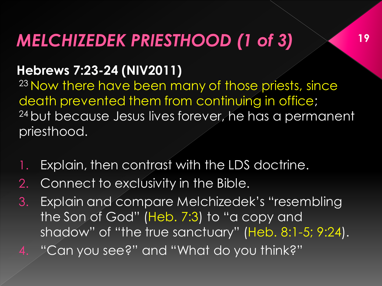#### **MELCHIZEDEK PRIESTHOOD (1 of 3)**

#### **Hebrews 7:23-24 (NIV2011)**

<sup>23</sup> Now there have been many of those priests, since death prevented them from continuing in office; <sup>24</sup> but because Jesus lives forever, he has a permanent priesthood.

- 1. Explain, then contrast with the LDS doctrine.
- 2. Connect to exclusivity in the Bible.
- 3. Explain and compare Melchizedek's "resembling the Son of God" (Heb. 7:3) to "a copy and shadow" of "the true sanctuary" (Heb. 8:1-5; 9:24).
- 4. "Can you see?" and "What do you think?"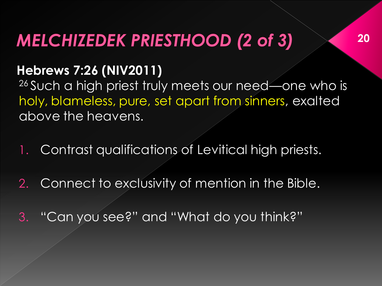#### **MELCHIZEDEK PRIESTHOOD (2 of 3)**

#### **Hebrews 7:26 (NIV2011)**

26 Such a high priest truly meets our need—one who is holy, blameless, pure, set apart from sinners, exalted above the heavens.

- 1. Contrast qualifications of Levitical high priests.
- 2. Connect to exclusivity of mention in the Bible.
- 3. "Can you see?" and "What do you think?"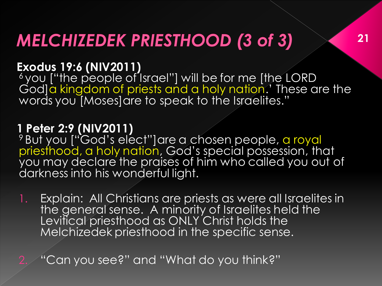#### **MELCHIZEDEK PRIESTHOOD (3 of 3)**

#### **Exodus 19:6 (NIV2011)**

<sup>6</sup>you ["the people of Israel"] will be for me [the LORD God]a kingdom of priests and a holy nation.' These are the words you [Moses]are to speak to the Israelites."

#### **1 Peter 2:9 (NIV2011)**

<sup>9</sup> But you ["God's elect"]are a chosen people, a royal priesthood, a holy nation, God's special possession, that you may declare the praises of him who called you out of darkness into his wonderful light.

1. Explain: All Christians are priests as were all Israelites in the general sense. A minority of Israelites held the Levitical priesthood as ONLY Christ holds the Melchizedek priesthood in the specific sense.

2. "Can you see?" and "What do you think?"